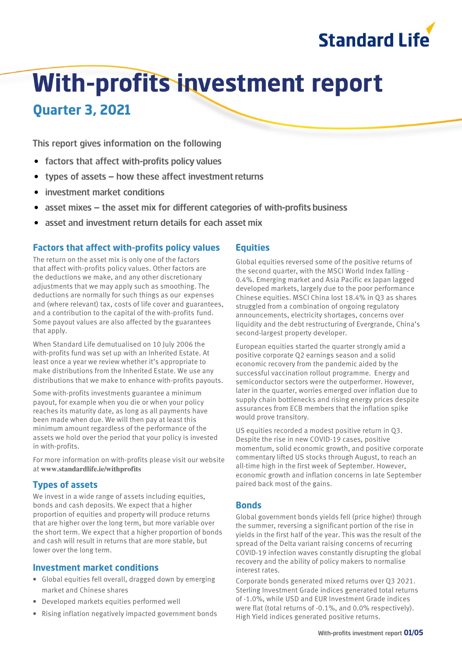

# **With-profits investment report**

**Quarter 3, 2021**

This report gives information on the following

- factors that affect with-profits policy values
- types of assets − how these affect investment returns
- investment market conditions
- asset mixes the asset mix for different categories of with-profits business
- asset and investment return details for each asset mix

# **Factors that affect with-profits policy values**

The return on the asset mix is only one of the factors that affect with-profits policy values. Other factors are the deductions we make, and any other discretionary adjustments that we may apply such as smoothing. The deductions are normally for such things as our expenses and (where relevant) tax, costs of life cover and guarantees, and a contribution to the capital of the with-profits fund. Some payout values are also affected by the guarantees that apply.

When Standard Life demutualised on 10 July 2006 the with-profits fund was set up with an Inherited Estate. At least once a year we review whether it's appropriate to make distributions from the Inherited Estate. We use any distributions that we make to enhance with-profits payouts.

Some with-profits investments guarantee a minimum payout, for example when you die or when your policy reaches its maturity date, as long as all payments have been made when due. We will then pay at least this minimum amount regardless of the performance of the assets we hold over the period that your policy is invested in with-profits.

For more information on with-profits please visit our website at **www.standardlife.ie/withprofits**

# **Types of assets**

We invest in a wide range of assets including equities, bonds and cash deposits. We expect that a higher proportion of equities and property will produce returns that are higher over the long term, but more variable over the short term. We expect that a higher proportion of bonds and cash will result in returns that are more stable, but lower over the long term.

#### **Investment market conditions**

- Global equities fell overall, dragged down by emerging market and Chinese shares
- Developed markets equities performed well
- Rising inflation negatively impacted government bonds

## **Equities**

Global equities reversed some of the positive returns of the second quarter, with the MSCI World Index falling - 0.4%. Emerging market and Asia Pacific ex Japan lagged developed markets, largely due to the poor performance Chinese equities. MSCI China lost 18.4% in Q3 as shares struggled from a combination of ongoing regulatory announcements, electricity shortages, concerns over liquidity and the debt restructuring of Evergrande, China's second-largest property developer.

European equities started the quarter strongly amid a positive corporate Q2 earnings season and a solid economic recovery from the pandemic aided by the successful vaccination rollout programme. Energy and semiconductor sectors were the outperformer. However, later in the quarter, worries emerged over inflation due to supply chain bottlenecks and rising energy prices despite assurances from ECB members that the inflation spike would prove transitory.

US equities recorded a modest positive return in Q3. Despite the rise in new COVID-19 cases, positive momentum, solid economic growth, and positive corporate commentary lifted US stocks through August, to reach an all-time high in the first week of September. However, economic growth and inflation concerns in late September paired back most of the gains.

#### **Bonds**

Global government bonds yields fell (price higher) through the summer, reversing a significant portion of the rise in yields in the first half of the year. This was the result of the spread of the Delta variant raising concerns of recurring COVID-19 infection waves constantly disrupting the global recovery and the ability of policy makers to normalise interest rates.

Corporate bonds generated mixed returns over Q3 2021. Sterling Investment Grade indices generated total returns of -1.0%, while USD and EUR Investment Grade indices were flat (total returns of -0.1%, and 0.0% respectively). High Yield indices generated positive returns.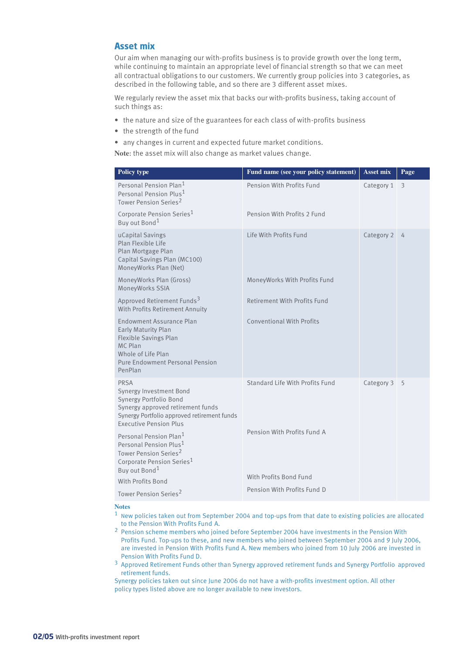#### **Asset mix**

Our aim when managing our with-profits business is to provide growth over the long term, while continuing to maintain an appropriate level of financial strength so that we can meet all contractual obligations to our customers. We currently group policies into 3 categories, as described in the following table, and so there are 3 different asset mixes.

We regularly review the asset mix that backs our with-profits business, taking account of such things as:

- the nature and size of the guarantees for each class of with-profits business
- the strength of the fund
- any changes in current and expected future market conditions.

**Note**: the asset mix will also change as market values change.

| Policy type                                                                                                                                                                                              | Fund name (see your policy statement)                 | <b>Asset mix</b> | Page |
|----------------------------------------------------------------------------------------------------------------------------------------------------------------------------------------------------------|-------------------------------------------------------|------------------|------|
| Personal Pension Plan <sup>1</sup><br>Personal Pension Plus <sup>1</sup><br>Tower Pension Series <sup>2</sup>                                                                                            | Pension With Profits Fund                             | Category 1       | 3    |
| Corporate Pension Series <sup>1</sup><br>Buy out Bond <sup>1</sup>                                                                                                                                       | Pension With Profits 2 Fund                           |                  |      |
| uCapital Savings<br>Plan Flexible Life<br>Plan Mortgage Plan<br>Capital Savings Plan (MC100)<br>MoneyWorks Plan (Net)                                                                                    | Life With Profits Fund                                | Category 2       | 4    |
| MoneyWorks Plan (Gross)<br>MoneyWorks SSIA                                                                                                                                                               | MoneyWorks With Profits Fund                          |                  |      |
| Approved Retirement Funds <sup>3</sup><br>With Profits Retirement Annuity                                                                                                                                | Retirement With Profits Fund                          |                  |      |
| <b>Endowment Assurance Plan</b><br>Early Maturity Plan<br>Flexible Savings Plan<br>MC Plan<br>Whole of Life Plan<br><b>Pure Endowment Personal Pension</b><br>PenPlan                                    | <b>Conventional With Profits</b>                      |                  |      |
| PRSA<br>Synergy Investment Bond<br>Synergy Portfolio Bond<br>Synergy approved retirement funds<br>Synergy Portfolio approved retirement funds<br><b>Executive Pension Plus</b>                           | Standard Life With Profits Fund                       | Category 3       | 5    |
| Personal Pension Plan <sup>1</sup><br>Personal Pension Plus <sup>1</sup><br>Tower Pension Series <sup>2</sup><br>Corporate Pension Series <sup>1</sup><br>Buy out Bond <sup>1</sup><br>With Profits Bond | Pension With Profits Fund A<br>With Profits Bond Fund |                  |      |
| Tower Pension Series <sup>2</sup>                                                                                                                                                                        | Pension With Profits Fund D                           |                  |      |
|                                                                                                                                                                                                          |                                                       |                  |      |

#### **Notes**

- 1 New policies taken out from September 2004 and top-ups from that date to existing policies are allocated to the Pension With Profits Fund A.
- 2 Pension scheme members who joined before September 2004 have investments in the Pension With Profits Fund. Top-ups to these, and new members who joined between September 2004 and 9 July 2006, are invested in Pension With Profits Fund A. New members who joined from 10 July 2006 are invested in Pension With Profits Fund D.
- 3 Approved Retirement Funds other than Synergy approved retirement funds and Synergy Portfolio approved retirement funds.

Synergy policies taken out since June 2006 do not have a with-profits investment option. All other policy types listed above are no longer available to new investors.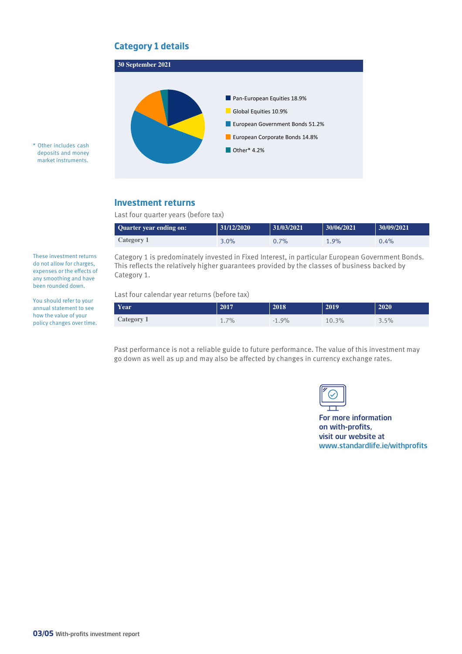# **Category 1 details**



\* Other includes cash deposits and money market instruments.

# **Investment returns**

Last four quarter years (before tax)

| <b>Quarter year ending on:</b> | 31/12/2020 | 31/03/2021 | 30/06/2021 | 30/09/2021 |
|--------------------------------|------------|------------|------------|------------|
| Category 1                     | $3.0\%$    | 0.7%       | 1.9%       | $0.4\%$    |

Category 1 is predominately invested in Fixed Interest, in particular European Government Bonds. This reflects the relatively higher guarantees provided by the classes of business backed by Category 1.

Last four calendar year returns (before tax)

| Year       | 2017 | 2018    | 2019  | 2020 |
|------------|------|---------|-------|------|
| Category 1 | 1.7% | $-1.9%$ | 10.3% | 3.5% |

Past performance is not a reliable guide to future performance. The value of this investment may go down as well as up and may also be affected by changes in currency exchange rates.

|--|

For more information on with-profits, visit our website at www.standardlife.ie/withprofits

do not allow for charges, expenses or the effects of any smoothing and have been rounded down.

These investment returns

You should refer to your annual statement to see how the value of your policy changes over time.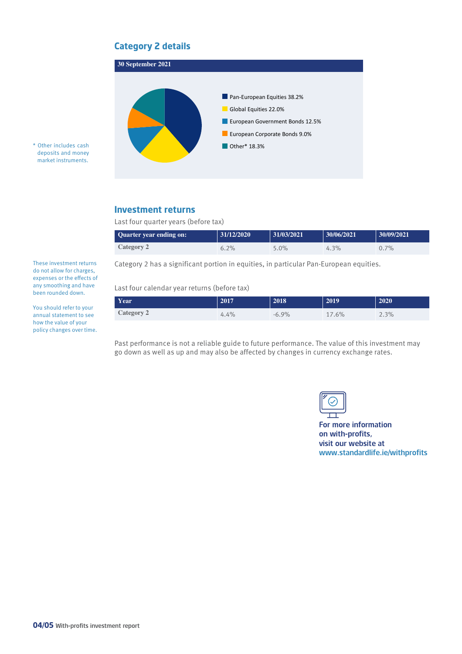# **Category 2 details**



\* Other includes cash deposits and money market instruments.

### **Investment returns**

Last four quarter years (before tax)

| <b>Quarter year ending on:</b> | 31/12/2020 | 31/03/2021 | 30/06/2021 | 30/09/2021 |
|--------------------------------|------------|------------|------------|------------|
| Category 2                     | 6.2%       | 5.0%       | $4.3\%$    | $0.7\%$    |

Category 2 has a significant portion in equities, in particular Pan-European equities.

#### Last four calendar year returns (before tax)

| Year              | 2017 | 2018    | 2019  | 2020 |
|-------------------|------|---------|-------|------|
| <b>Category 2</b> | 4.4% | $-6.9%$ | 17.6% | 2.3% |

Past performance is not a reliable guide to future performance. The value of this investment may go down as well as up and may also be affected by changes in currency exchange rates.



For more information on with-profits, visit our website at www.standardlife.ie/withprofits

These investment returns do not allow for charges, expenses or the effects of any smoothing and have been rounded down.

You should refer to your annual statement to see how the value of your policy changes over time.